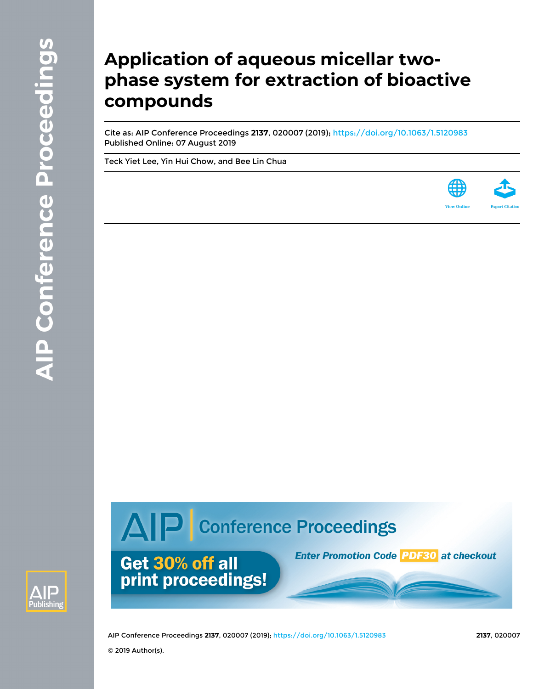## **Application of aqueous micellar twophase system for extraction of bioactive compounds**

Cite as: AIP Conference Proceedings **2137**, 020007 (2019); <https://doi.org/10.1063/1.5120983> Published Online: 07 August 2019

[Teck Yiet Lee,](https://aip.scitation.org/author/Lee%2C+Teck+Yiet) [Yin Hui Chow,](https://aip.scitation.org/author/Chow%2C+Yin+Hui) and [Bee Lin Chua](https://aip.scitation.org/author/Chua%2C+Bee+Lin)



# AIP Conference Proceedings



AIP Conference Proceedings **2137**, 020007 (2019); <https://doi.org/10.1063/1.5120983> **2137**, 020007

© 2019 Author(s).

Get 30% off all

print proceedings!

**Enter Promotion Code 20530 at checkout**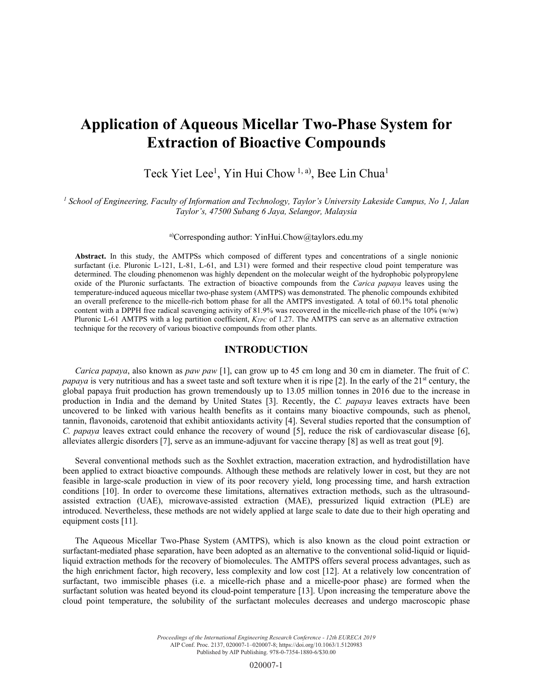### **Application of Aqueous Micellar Two-Phase System for Extraction of Bioactive Compounds**

#### Teck Yiet Lee<sup>1</sup>, Yin Hui Chow<sup>1, a)</sup>, Bee Lin Chua<sup>1</sup>

<sup>1</sup> School of Engineering, Faculty of Information and Technology, Taylor's University Lakeside Campus, No 1, Jalan *Taylor's, 47500 Subang 6 Jaya, Selangor, Malaysia* 

#### a)Corresponding author: YinHui.Chow@taylors.edu.my

**Abstract.** In this study, the AMTPSs which composed of different types and concentrations of a single nonionic surfactant (i.e. Pluronic L-121, L-81, L-61, and L31) were formed and their respective cloud point temperature was determined. The clouding phenomenon was highly dependent on the molecular weight of the hydrophobic polypropylene oxide of the Pluronic surfactants. The extraction of bioactive compounds from the *Carica papaya* leaves using the temperature-induced aqueous micellar two-phase system (AMTPS) was demonstrated. The phenolic compounds exhibited an overall preference to the micelle-rich bottom phase for all the AMTPS investigated. A total of 60.1% total phenolic content with a DPPH free radical scavenging activity of 81.9% was recovered in the micelle-rich phase of the  $10\%$  (w/w) Pluronic L-61 AMTPS with a log partition coefficient, *K<sub>TPC</sub>* of 1.27. The AMTPS can serve as an alternative extraction technique for the recovery of various bioactive compounds from other plants.

#### **INTRODUCTION**

*Carica papaya*, also known as *paw paw* [1], can grow up to 45 cm long and 30 cm in diameter. The fruit of *C. papaya* is very nutritious and has a sweet taste and soft texture when it is ripe [2]. In the early of the 21<sup>st</sup> century, the global papaya fruit production has grown tremendously up to 13.05 million tonnes in 2016 due to the increase in production in India and the demand by United States [3]. Recently, the *C. papaya* leaves extracts have been uncovered to be linked with various health benefits as it contains many bioactive compounds, such as phenol, tannin, flavonoids, carotenoid that exhibit antioxidants activity [4]. Several studies reported that the consumption of *C. papaya* leaves extract could enhance the recovery of wound [5], reduce the risk of cardiovascular disease [6], alleviates allergic disorders [7], serve as an immune-adjuvant for vaccine therapy [8] as well as treat gout [9].

Several conventional methods such as the Soxhlet extraction, maceration extraction, and hydrodistillation have been applied to extract bioactive compounds. Although these methods are relatively lower in cost, but they are not feasible in large-scale production in view of its poor recovery yield, long processing time, and harsh extraction conditions [10]. In order to overcome these limitations, alternatives extraction methods, such as the ultrasoundassisted extraction (UAE), microwave-assisted extraction (MAE), pressurized liquid extraction (PLE) are introduced. Nevertheless, these methods are not widely applied at large scale to date due to their high operating and equipment costs [11].

The Aqueous Micellar Two-Phase System (AMTPS), which is also known as the cloud point extraction or surfactant-mediated phase separation, have been adopted as an alternative to the conventional solid-liquid or liquidliquid extraction methods for the recovery of biomolecules. The AMTPS offers several process advantages, such as the high enrichment factor, high recovery, less complexity and low cost [12]. At a relatively low concentration of surfactant, two immiscible phases (i.e. a micelle-rich phase and a micelle-poor phase) are formed when the surfactant solution was heated beyond its cloud-point temperature [13]. Upon increasing the temperature above the cloud point temperature, the solubility of the surfactant molecules decreases and undergo macroscopic phase

> *Proceedings of the International Engineering Research Conference - 12th EURECA 2019* AIP Conf. Proc. 2137, 020007-1–020007-8; https://doi.org/10.1063/1.5120983 Published by AIP Publishing. 978-0-7354-1880-6/\$30.00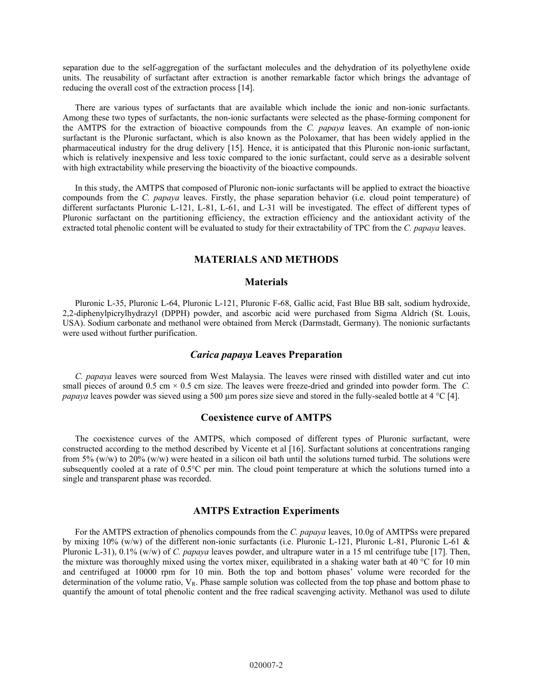separation due to the self-aggregation of the surfactant molecules and the dehydration of its polyethylene oxide units. The reusability of surfactant after extraction is another remarkable factor which brings the advantage of reducing the overall cost of the extraction process [14].

There are various types of surfactants that are available which include the ionic and non-ionic surfactants. Among these two types of surfactants, the non-ionic surfactants were selected as the phase-forming component for the AMTPS for the extraction of bioactive compounds from the *C. papaya* leaves. An example of non-ionic surfactant is the Pluronic surfactant, which is also known as the Poloxamer, that has been widely applied in the pharmaceutical industry for the drug delivery [15]. Hence, it is anticipated that this Pluronic non-ionic surfactant, which is relatively inexpensive and less toxic compared to the ionic surfactant, could serve as a desirable solvent with high extractability while preserving the bioactivity of the bioactive compounds.

In this study, the AMTPS that composed of Pluronic non-ionic surfactants will be applied to extract the bioactive compounds from the *C. papaya* leaves. Firstly, the phase separation behavior (i.e. cloud point temperature) of different surfactants Pluronic L-121, L-81, L-61, and L-31 will be investigated. The effect of different types of Pluronic surfactant on the partitioning efficiency, the extraction efficiency and the antioxidant activity of the extracted total phenolic content will be evaluated to study for their extractability of TPC from the *C. papaya* leaves.

#### **MATERIALS AND METHODS**

#### **Materials**

Pluronic L-35, Pluronic L-64, Pluronic L-121, Pluronic F-68, Gallic acid, Fast Blue BB salt, sodium hydroxide, 2,2-diphenylpicrylhydrazyl (DPPH) powder, and ascorbic acid were purchased from Sigma Aldrich (St. Louis, USA). Sodium carbonate and methanol were obtained from Merck (Darmstadt, Germany). The nonionic surfactants were used without further purification.

#### *Carica papaya* **Leaves Preparation**

*C. papaya* leaves were sourced from West Malaysia. The leaves were rinsed with distilled water and cut into small pieces of around 0.5 cm × 0.5 cm size. The leaves were freeze-dried and grinded into powder form. The *C. papaya* leaves powder was sieved using a 500 µm pores size sieve and stored in the fully-sealed bottle at 4 °C [4].

#### **Coexistence curve of AMTPS**

The coexistence curves of the AMTPS, which composed of different types of Pluronic surfactant, were constructed according to the method described by Vicente et al [16]. Surfactant solutions at concentrations ranging from 5% (w/w) to 20% (w/w) were heated in a silicon oil bath until the solutions turned turbid. The solutions were subsequently cooled at a rate of 0.5°C per min. The cloud point temperature at which the solutions turned into a single and transparent phase was recorded.

#### **AMTPS Extraction Experiments**

For the AMTPS extraction of phenolics compounds from the *C. papaya* leaves, 10.0g of AMTPSs were prepared by mixing 10% (w/w) of the different non-ionic surfactants (i.e. Pluronic L-121, Pluronic L-81, Pluronic L-61 & Pluronic L-31), 0.1% (w/w) of *C. papaya* leaves powder, and ultrapure water in a 15 ml centrifuge tube [17]. Then, the mixture was thoroughly mixed using the vortex mixer, equilibrated in a shaking water bath at 40 °C for 10 min and centrifuged at 10000 rpm for 10 min. Both the top and bottom phases' volume were recorded for the determination of the volume ratio,  $V_R$ . Phase sample solution was collected from the top phase and bottom phase to quantify the amount of total phenolic content and the free radical scavenging activity. Methanol was used to dilute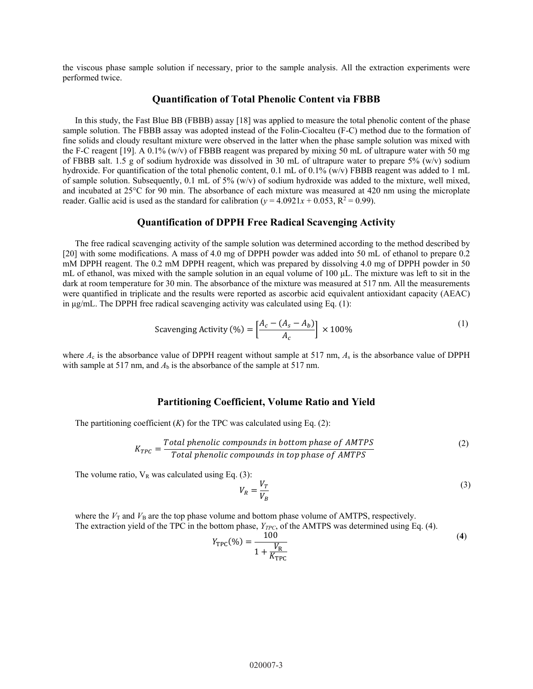the viscous phase sample solution if necessary, prior to the sample analysis. All the extraction experiments were performed twice.

#### **Quantification of Total Phenolic Content via FBBB**

In this study, the Fast Blue BB (FBBB) assay [18] was applied to measure the total phenolic content of the phase sample solution. The FBBB assay was adopted instead of the Folin-Ciocalteu (F-C) method due to the formation of fine solids and cloudy resultant mixture were observed in the latter when the phase sample solution was mixed with the F-C reagent [19]. A 0.1% (w/v) of FBBB reagent was prepared by mixing 50 mL of ultrapure water with 50 mg of FBBB salt. 1.5 g of sodium hydroxide was dissolved in 30 mL of ultrapure water to prepare 5% (w/v) sodium hydroxide. For quantification of the total phenolic content, 0.1 mL of 0.1% (w/v) FBBB reagent was added to 1 mL of sample solution. Subsequently, 0.1 mL of 5% (w/v) of sodium hydroxide was added to the mixture, well mixed, and incubated at 25°C for 90 min. The absorbance of each mixture was measured at 420 nm using the microplate reader. Gallic acid is used as the standard for calibration ( $y = 4.0921x + 0.053$ ,  $R^2 = 0.99$ ).

#### **Quantification of DPPH Free Radical Scavenging Activity**

The free radical scavenging activity of the sample solution was determined according to the method described by [20] with some modifications. A mass of 4.0 mg of DPPH powder was added into 50 mL of ethanol to prepare 0.2 mM DPPH reagent. The 0.2 mM DPPH reagent, which was prepared by dissolving 4.0 mg of DPPH powder in 50 mL of ethanol, was mixed with the sample solution in an equal volume of 100 μL. The mixture was left to sit in the dark at room temperature for 30 min. The absorbance of the mixture was measured at 517 nm. All the measurements were quantified in triplicate and the results were reported as ascorbic acid equivalent antioxidant capacity (AEAC) in μg/mL. The DPPH free radical scavenging activity was calculated using Eq. (1):

Scavenging Activity (%) = 
$$
\left[\frac{A_c - (A_s - A_b)}{A_c}\right] \times 100\%
$$
 (1)

where  $A_c$  is the absorbance value of DPPH reagent without sample at 517 nm,  $A_s$  is the absorbance value of DPPH with sample at 517 nm, and  $A<sub>b</sub>$  is the absorbance of the sample at 517 nm.

#### **Partitioning Coefficient, Volume Ratio and Yield**

The partitioning coefficient  $(K)$  for the TPC was calculated using Eq.  $(2)$ :

$$
K_{TPC} = \frac{Total\, the nonpounds in bottom phase of AMTPS}{Total\, phenolic\,components\,in top\,phase\,of\,AMTPS}
$$
 (2)

The volume ratio,  $V_R$  was calculated using Eq. (3):

$$
V_R = \frac{V_T}{V_B} \tag{3}
$$

where the  $V_T$  and  $V_B$  are the top phase volume and bottom phase volume of AMTPS, respectively. The extraction yield of the TPC in the bottom phase,  $Y_{TPC}$ , of the AMTPS was determined using Eq. (4).

$$
Y_{\rm TPC}(\%) = \frac{100}{1 + \frac{V_{\rm R}}{K_{\rm TPC}}} \tag{4}
$$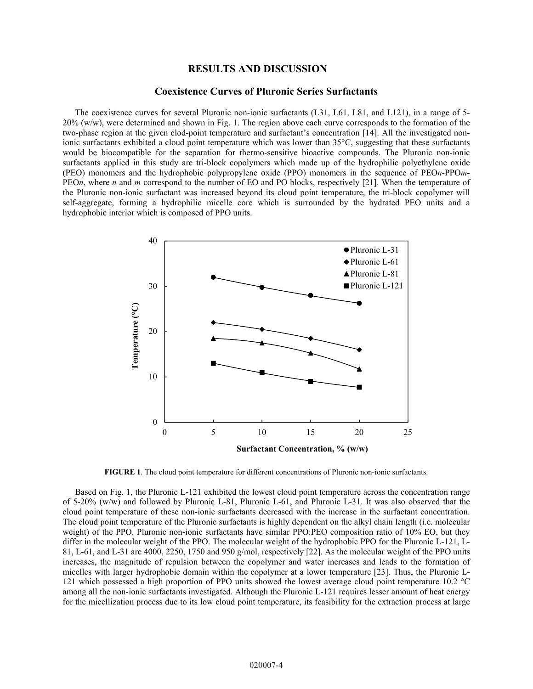#### **RESULTS AND DISCUSSION**

#### **Coexistence Curves of Pluronic Series Surfactants**

The coexistence curves for several Pluronic non-ionic surfactants (L31, L61, L81, and L121), in a range of 5- 20% (w/w), were determined and shown in Fig. 1. The region above each curve corresponds to the formation of the two-phase region at the given clod-point temperature and surfactant's concentration [14]. All the investigated nonionic surfactants exhibited a cloud point temperature which was lower than 35°C, suggesting that these surfactants would be biocompatible for the separation for thermo-sensitive bioactive compounds. The Pluronic non-ionic surfactants applied in this study are tri-block copolymers which made up of the hydrophilic polyethylene oxide (PEO) monomers and the hydrophobic polypropylene oxide (PPO) monomers in the sequence of PEO*n*-PPO*m*-PEO*n*, where *n* and *m* correspond to the number of EO and PO blocks, respectively [21]. When the temperature of the Pluronic non-ionic surfactant was increased beyond its cloud point temperature, the tri-block copolymer will self-aggregate, forming a hydrophilic micelle core which is surrounded by the hydrated PEO units and a hydrophobic interior which is composed of PPO units.



**FIGURE 1**. The cloud point temperature for different concentrations of Pluronic non-ionic surfactants.

Based on Fig. 1, the Pluronic L-121 exhibited the lowest cloud point temperature across the concentration range of 5-20% (w/w) and followed by Pluronic L-81, Pluronic L-61, and Pluronic L-31. It was also observed that the cloud point temperature of these non-ionic surfactants decreased with the increase in the surfactant concentration. The cloud point temperature of the Pluronic surfactants is highly dependent on the alkyl chain length (i.e. molecular weight) of the PPO. Pluronic non-ionic surfactants have similar PPO:PEO composition ratio of 10% EO, but they differ in the molecular weight of the PPO. The molecular weight of the hydrophobic PPO for the Pluronic L-121, L-81, L-61, and L-31 are 4000, 2250, 1750 and 950 g/mol, respectively [22]. As the molecular weight of the PPO units increases, the magnitude of repulsion between the copolymer and water increases and leads to the formation of micelles with larger hydrophobic domain within the copolymer at a lower temperature [23]. Thus, the Pluronic L-121 which possessed a high proportion of PPO units showed the lowest average cloud point temperature 10.2 °C among all the non-ionic surfactants investigated. Although the Pluronic L-121 requires lesser amount of heat energy for the micellization process due to its low cloud point temperature, its feasibility for the extraction process at large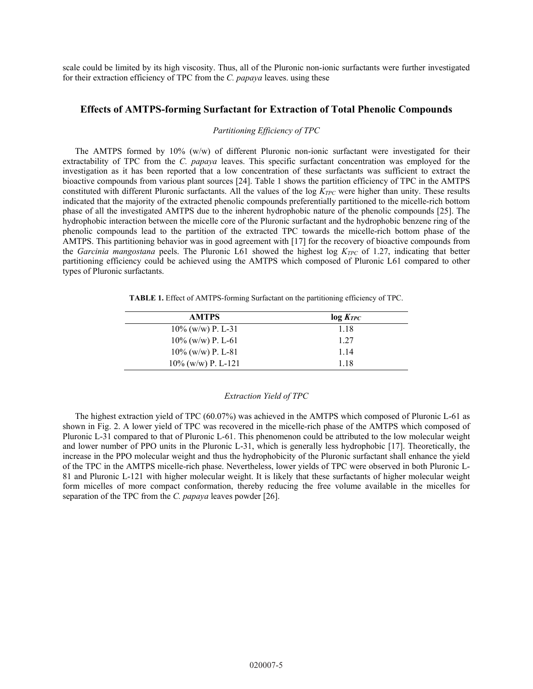scale could be limited by its high viscosity. Thus, all of the Pluronic non-ionic surfactants were further investigated for their extraction efficiency of TPC from the *C. papaya* leaves. using these

#### **Effects of AMTPS-forming Surfactant for Extraction of Total Phenolic Compounds**

#### *Partitioning Efficiency of TPC*

The AMTPS formed by 10% (w/w) of different Pluronic non-ionic surfactant were investigated for their extractability of TPC from the *C. papaya* leaves. This specific surfactant concentration was employed for the investigation as it has been reported that a low concentration of these surfactants was sufficient to extract the bioactive compounds from various plant sources [24]. Table 1 shows the partition efficiency of TPC in the AMTPS constituted with different Pluronic surfactants. All the values of the log  $K_{TPC}$  were higher than unity. These results indicated that the majority of the extracted phenolic compounds preferentially partitioned to the micelle-rich bottom phase of all the investigated AMTPS due to the inherent hydrophobic nature of the phenolic compounds [25]. The hydrophobic interaction between the micelle core of the Pluronic surfactant and the hydrophobic benzene ring of the phenolic compounds lead to the partition of the extracted TPC towards the micelle-rich bottom phase of the AMTPS. This partitioning behavior was in good agreement with [17] for the recovery of bioactive compounds from the *Garcinia mangostana* peels. The Pluronic L61 showed the highest log *KTPC* of 1.27, indicating that better partitioning efficiency could be achieved using the AMTPS which composed of Pluronic L61 compared to other types of Pluronic surfactants.

**TABLE 1.** Effect of AMTPS-forming Surfactant on the partitioning efficiency of TPC.

| <b>AMTPS</b>          | $log K_{TPC}$ |
|-----------------------|---------------|
| $10\%$ (w/w) P. L-31  | 1.18          |
| $10\%$ (w/w) P. L-61  | 1.27          |
| $10\%$ (w/w) P. L-81  | 1.14          |
| $10\%$ (w/w) P. L-121 | 1.18          |

#### *Extraction Yield of TPC*

The highest extraction yield of TPC (60.07%) was achieved in the AMTPS which composed of Pluronic L-61 as shown in Fig. 2. A lower yield of TPC was recovered in the micelle-rich phase of the AMTPS which composed of Pluronic L-31 compared to that of Pluronic L-61. This phenomenon could be attributed to the low molecular weight and lower number of PPO units in the Pluronic L-31, which is generally less hydrophobic [17]. Theoretically, the increase in the PPO molecular weight and thus the hydrophobicity of the Pluronic surfactant shall enhance the yield of the TPC in the AMTPS micelle-rich phase. Nevertheless, lower yields of TPC were observed in both Pluronic L-81 and Pluronic L-121 with higher molecular weight. It is likely that these surfactants of higher molecular weight form micelles of more compact conformation, thereby reducing the free volume available in the micelles for separation of the TPC from the *C. papaya* leaves powder [26].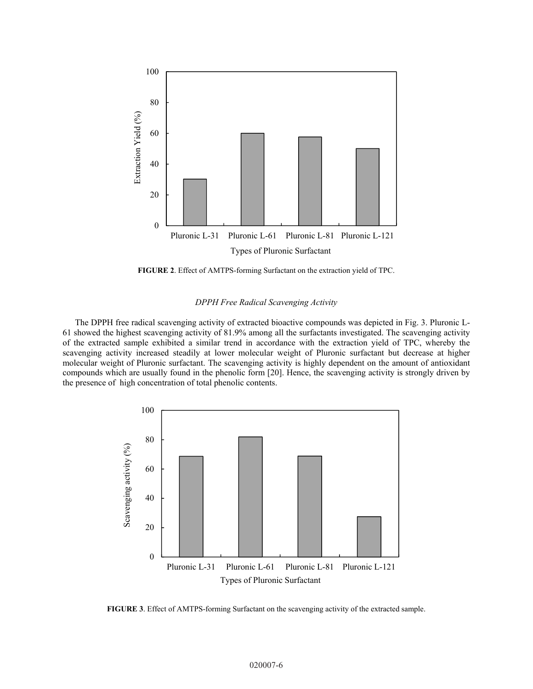

**FIGURE 2**. Effect of AMTPS-forming Surfactant on the extraction yield of TPC.

#### *DPPH Free Radical Scavenging Activity*

The DPPH free radical scavenging activity of extracted bioactive compounds was depicted in Fig. 3. Pluronic L-61 showed the highest scavenging activity of 81.9% among all the surfactants investigated. The scavenging activity of the extracted sample exhibited a similar trend in accordance with the extraction yield of TPC, whereby the scavenging activity increased steadily at lower molecular weight of Pluronic surfactant but decrease at higher molecular weight of Pluronic surfactant. The scavenging activity is highly dependent on the amount of antioxidant compounds which are usually found in the phenolic form [20]. Hence, the scavenging activity is strongly driven by the presence of high concentration of total phenolic contents.



**FIGURE 3**. Effect of AMTPS-forming Surfactant on the scavenging activity of the extracted sample.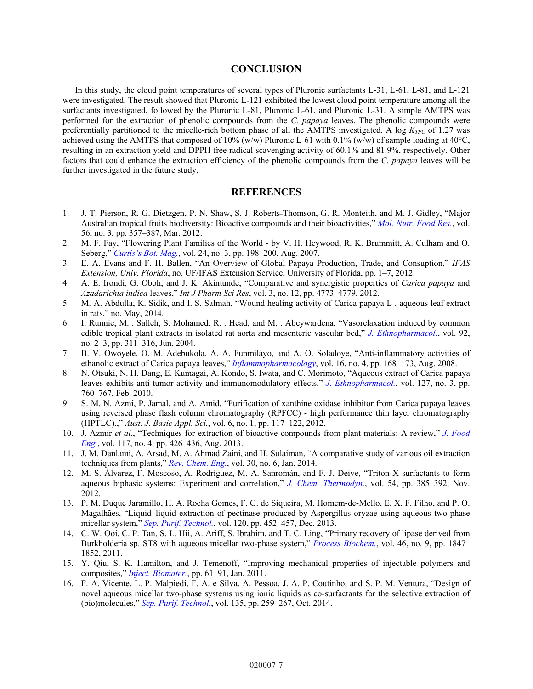#### **CONCLUSION**

In this study, the cloud point temperatures of several types of Pluronic surfactants L-31, L-61, L-81, and L-121 were investigated. The result showed that Pluronic L-121 exhibited the lowest cloud point temperature among all the surfactants investigated, followed by the Pluronic L-81, Pluronic L-61, and Pluronic L-31. A simple AMTPS was performed for the extraction of phenolic compounds from the *C. papaya* leaves. The phenolic compounds were preferentially partitioned to the micelle-rich bottom phase of all the AMTPS investigated. A log  $K_{TPC}$  of 1.27 was achieved using the AMTPS that composed of 10% (w/w) Pluronic L-61 with 0.1% (w/w) of sample loading at  $40^{\circ}$ C, resulting in an extraction yield and DPPH free radical scavenging activity of 60.1% and 81.9%, respectively. Other factors that could enhance the extraction efficiency of the phenolic compounds from the *C. papaya* leaves will be further investigated in the future study.

#### **REFERENCES**

- 1. J. T. Pierson, R. G. Dietzgen, P. N. Shaw, S. J. Roberts-Thomson, G. R. Monteith, and M. J. Gidley, "Major Australian tropical fruits biodiversity: Bioactive compounds and their bioactivities," *[Mol. Nutr. Food Res.](https://doi.org/10.1002/mnfr.201100441)*, vol. 56, no. 3, pp. 357–387, Mar. 2012.
- 2. M. F. Fay, "Flowering Plant Families of the World by V. H. Heywood, R. K. Brummitt, A. Culham and O. Seberg," *[Curtis's Bot. Mag.](https://doi.org/10.1111/j.1467-8748.2007.00585.x)*, vol. 24, no. 3, pp. 198–200, Aug. 2007.
- 3. E. A. Evans and F. H. Ballen, "An Overview of Global Papaya Production, Trade, and Consuption," *IFAS Extension, Univ. Florida*, no. UF/IFAS Extension Service, University of Florida, pp. 1–7, 2012.
- 4. A. E. Irondi, G. Oboh, and J. K. Akintunde, "Comparative and synergistic properties of *Carica papaya* and *Azadarichta indica* leaves," *Int J Pharm Sci Res*, vol. 3, no. 12, pp. 4773–4779, 2012.
- 5. M. A. Abdulla, K. Sidik, and I. S. Salmah, "Wound healing activity of Carica papaya L . aqueous leaf extract in rats," no. May, 2014.
- 6. I. Runnie, M. . Salleh, S. Mohamed, R. . Head, and M. . Abeywardena, "Vasorelaxation induced by common edible tropical plant extracts in isolated rat aorta and mesenteric vascular bed," *[J. Ethnopharmacol.](https://doi.org/10.1016/j.jep.2004.03.019)*, vol. 92, no. 2–3, pp. 311–316, Jun. 2004.
- 7. B. V. Owoyele, O. M. Adebukola, A. A. Funmilayo, and A. O. Soladoye, "Anti-inflammatory activities of ethanolic extract of Carica papaya leaves," *[Inflammopharmacology](https://doi.org/10.1007/s10787-008-7008-0)*, vol. 16, no. 4, pp. 168–173, Aug. 2008.
- 8. N. Otsuki, N. H. Dang, E. Kumagai, A. Kondo, S. Iwata, and C. Morimoto, "Aqueous extract of Carica papaya leaves exhibits anti-tumor activity and immunomodulatory effects," *[J. Ethnopharmacol.](https://doi.org/10.1016/j.jep.2009.11.024)*, vol. 127, no. 3, pp. 760–767, Feb. 2010.
- 9. S. M. N. Azmi, P. Jamal, and A. Amid, "Purification of xanthine oxidase inhibitor from Carica papaya leaves using reversed phase flash column chromatography (RPFCC) - high performance thin layer chromatography (HPTLC).," *Aust. J. Basic Appl. Sci.*, vol. 6, no. 1, pp. 117–122, 2012.
- 10. J. Azmir *et al.*, "Techniques for extraction of bioactive compounds from plant materials: A review," *[J. Food](https://doi.org/10.1016/j.jfoodeng.2013.01.014) [Eng.](https://doi.org/10.1016/j.jfoodeng.2013.01.014)*, vol. 117, no. 4, pp. 426–436, Aug. 2013.
- 11. J. M. Danlami, A. Arsad, M. A. Ahmad Zaini, and H. Sulaiman, "A comparative study of various oil extraction techniques from plants," *[Rev. Chem. Eng.](https://doi.org/10.1515/revce-2013-0038)*, vol. 30, no. 6, Jan. 2014.
- 12. M. S. Álvarez, F. Moscoso, A. Rodríguez, M. A. Sanromán, and F. J. Deive, "Triton X surfactants to form aqueous biphasic systems: Experiment and correlation," *[J. Chem. Thermodyn.](https://doi.org/10.1016/j.jct.2012.05.022)*, vol. 54, pp. 385–392, Nov. 2012.
- 13. P. M. Duque Jaramillo, H. A. Rocha Gomes, F. G. de Siqueira, M. Homem-de-Mello, E. X. F. Filho, and P. O. Magalhães, "Liquid–liquid extraction of pectinase produced by Aspergillus oryzae using aqueous two-phase micellar system," *[Sep. Purif. Technol.](https://doi.org/10.1016/j.seppur.2013.09.020)*, vol. 120, pp. 452–457, Dec. 2013.
- 14. C. W. Ooi, C. P. Tan, S. L. Hii, A. Ariff, S. Ibrahim, and T. C. Ling, "Primary recovery of lipase derived from Burkholderia sp. ST8 with aqueous micellar two-phase system," *[Process Biochem.](https://doi.org/10.1016/j.procbio.2011.06.014)*, vol. 46, no. 9, pp. 1847– 1852, 2011.
- 15. Y. Qiu, S. K. Hamilton, and J. Temenoff, "Improving mechanical properties of injectable polymers and composites," *[Inject. Biomater.](https://doi.org/10.1533/9780857091376.1.61)*, pp. 61–91, Jan. 2011.
- 16. F. A. Vicente, L. P. Malpiedi, F. A. e Silva, A. Pessoa, J. A. P. Coutinho, and S. P. M. Ventura, "Design of novel aqueous micellar two-phase systems using ionic liquids as co-surfactants for the selective extraction of (bio)molecules," *[Sep. Purif. Technol.](https://doi.org/10.1016/j.seppur.2014.06.045)*, vol. 135, pp. 259–267, Oct. 2014.